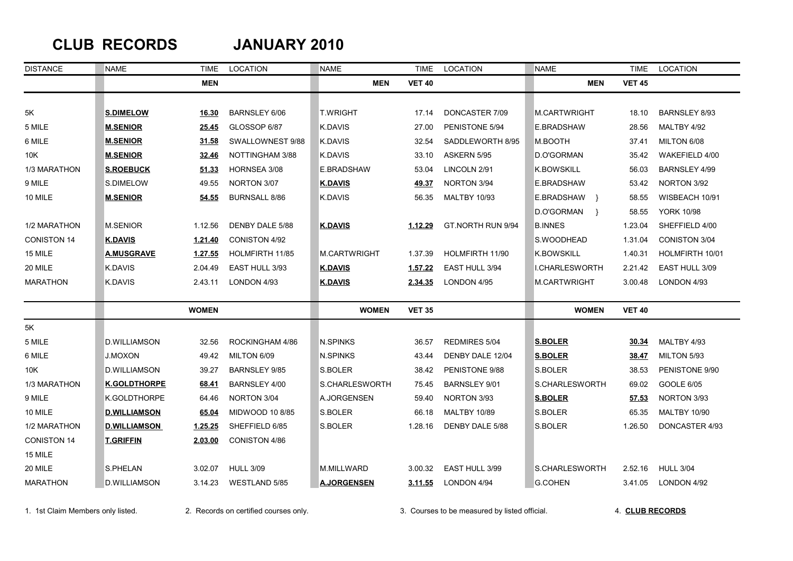## **CLUB RECORDS JANUARY 2010**

| <b>DISTANCE</b>    | <b>NAME</b>         | TIME           | <b>LOCATION</b>        | <b>NAME</b>         | <b>TIME</b>    | <b>LOCATION</b>      | <b>NAME</b>                 | TIME          | LOCATION             |
|--------------------|---------------------|----------------|------------------------|---------------------|----------------|----------------------|-----------------------------|---------------|----------------------|
|                    |                     | <b>MEN</b>     |                        | <b>MEN</b>          | <b>VET 40</b>  |                      | <b>MEN</b>                  | <b>VET 45</b> |                      |
|                    |                     |                |                        |                     |                |                      |                             |               |                      |
| 5Κ                 | <b>S.DIMELOW</b>    | 16.30          | <b>BARNSLEY 6/06</b>   | <b>T.WRIGHT</b>     | 17.14          | DONCASTER 7/09       | M.CARTWRIGHT                | 18.10         | BARNSLEY 8/93        |
| 5 MILE             | <b>M.SENIOR</b>     | 25.45          | GLOSSOP 6/87           | <b>K.DAVIS</b>      | 27.00          | PENISTONE 5/94       | <b>E.BRADSHAW</b>           | 28.56         | MALTBY 4/92          |
| 6 MILE             | <b>M.SENIOR</b>     | 31.58          | SWALLOWNEST 9/88       | K.DAVIS             | 32.54          | SADDLEWORTH 8/95     | M.BOOTH                     | 37.41         | MILTON 6/08          |
| 10K                | <b>M.SENIOR</b>     | 32.46          | NOTTINGHAM 3/88        | K.DAVIS             | 33.10          | ASKERN 5/95          | D.O'GORMAN                  | 35.42         | WAKEFIELD 4/00       |
| 1/3 MARATHON       | <b>S.ROEBUCK</b>    | 51.33          | HORNSEA 3/08           | E.BRADSHAW          | 53.04          | LINCOLN 2/91         | <b>K.BOWSKILL</b>           | 56.03         | BARNSLEY 4/99        |
| 9 MILE             | S.DIMELOW           | 49.55          | NORTON 3/07            | <b>K.DAVIS</b>      | 49.37          | NORTON 3/94          | E.BRADSHAW                  | 53.42         | NORTON 3/92          |
| 10 MILE            | <b>M.SENIOR</b>     | 54.55          | <b>BURNSALL 8/86</b>   | <b>K.DAVIS</b>      | 56.35          | <b>MALTBY 10/93</b>  | E.BRADSHAW }                | 58.55         | WISBEACH 10/91       |
|                    |                     |                |                        |                     |                |                      | D.O'GORMAN<br>$\rightarrow$ | 58.55         | <b>YORK 10/98</b>    |
| 1/2 MARATHON       | <b>M.SENIOR</b>     | 1.12.56        | DENBY DALE 5/88        | <b>K.DAVIS</b>      | 1.12.29        | GT.NORTH RUN 9/94    | <b>B.INNES</b>              | 1.23.04       | SHEFFIELD 4/00       |
| <b>CONISTON 14</b> | <b>K.DAVIS</b>      | 1.21.40        | <b>CONISTON 4/92</b>   |                     |                |                      | S.WOODHEAD                  | 1.31.04       | <b>CONISTON 3/04</b> |
| 15 MILE            | <u>A.MUSGRAVE</u>   | <u>1.27.55</u> | <b>HOLMFIRTH 11/85</b> | <b>M.CARTWRIGHT</b> | 1.37.39        | HOLMFIRTH 11/90      | <b>K.BOWSKILL</b>           | 1.40.31       | HOLMFIRTH 10/01      |
| 20 MILE            | K.DAVIS             | 2.04.49        | EAST HULL 3/93         | <b>K.DAVIS</b>      | 1.57.22        | EAST HULL 3/94       | I.CHARLESWORTH              | 2.21.42       | EAST HULL 3/09       |
| <b>MARATHON</b>    | K.DAVIS             | 2.43.11        | LONDON 4/93            | <u>K.DAVIS</u>      | <u>2.34.35</u> | LONDON 4/95          | M.CARTWRIGHT                | 3.00.48       | LONDON 4/93          |
|                    |                     | <b>WOMEN</b>   |                        | <b>WOMEN</b>        | <b>VET 35</b>  |                      | <b>WOMEN</b>                | <b>VET 40</b> |                      |
| 5K                 |                     |                |                        |                     |                |                      |                             |               |                      |
| 5 MILE             | <b>D.WILLIAMSON</b> | 32.56          | ROCKINGHAM 4/86        | N.SPINKS            | 36.57          | REDMIRES 5/04        | <b>S.BOLER</b>              | 30.34         | MALTBY 4/93          |
| 6 MILE             | <b>J.MOXON</b>      | 49.42          | MILTON 6/09            | N.SPINKS            | 43.44          | DENBY DALE 12/04     | <b>S.BOLER</b>              | 38.47         | MILTON 5/93          |
| 10K                | <b>D.WILLIAMSON</b> | 39.27          | <b>BARNSLEY 9/85</b>   | S.BOLER             | 38.42          | PENISTONE 9/88       | S.BOLER                     | 38.53         | PENISTONE 9/90       |
| 1/3 MARATHON       | <b>K.GOLDTHORPE</b> | 68.41          | BARNSLEY 4/00          | S.CHARLESWORTH      | 75.45          | <b>BARNSLEY 9/01</b> | S.CHARLESWORTH              | 69.02         | <b>GOOLE 6/05</b>    |
| 9 MILE             | K.GOLDTHORPE        | 64.46          | NORTON 3/04            | A.JORGENSEN         | 59.40          | NORTON 3/93          | <b>S.BOLER</b>              | 57.53         | NORTON 3/93          |
| 10 MILE            | <b>D.WILLIAMSON</b> | 65.04          | MIDWOOD 10 8/85        | S.BOLER             | 66.18          | <b>MALTBY 10/89</b>  | S.BOLER                     | 65.35         | <b>MALTBY 10/90</b>  |
| 1/2 MARATHON       | <b>D.WILLIAMSON</b> | 1.25.25        | SHEFFIELD 6/85         | S.BOLER             | 1.28.16        | DENBY DALE 5/88      | S.BOLER                     | 1.26.50       | DONCASTER 4/93       |
| <b>CONISTON 14</b> | <b>T.GRIFFIN</b>    | 2.03.00        | CONISTON 4/86          |                     |                |                      |                             |               |                      |
| 15 MILE            |                     |                |                        |                     |                |                      |                             |               |                      |
| 20 MILE            | S.PHELAN            | 3.02.07        | <b>HULL 3/09</b>       | <b>M.MILLWARD</b>   | 3.00.32        | EAST HULL 3/99       | S.CHARLESWORTH              | 2.52.16       | <b>HULL 3/04</b>     |
| <b>MARATHON</b>    | <b>D.WILLIAMSON</b> | 3.14.23        | WESTLAND 5/85          | <b>A.JORGENSEN</b>  | 3.11.55        | LONDON 4/94          | <b>G.COHEN</b>              | 3.41.05       | LONDON 4/92          |

1. 1st Claim Members only listed. 2. Records on certified courses only. 3. Courses to be measured by listed official. 4. **CLUB RECORDS**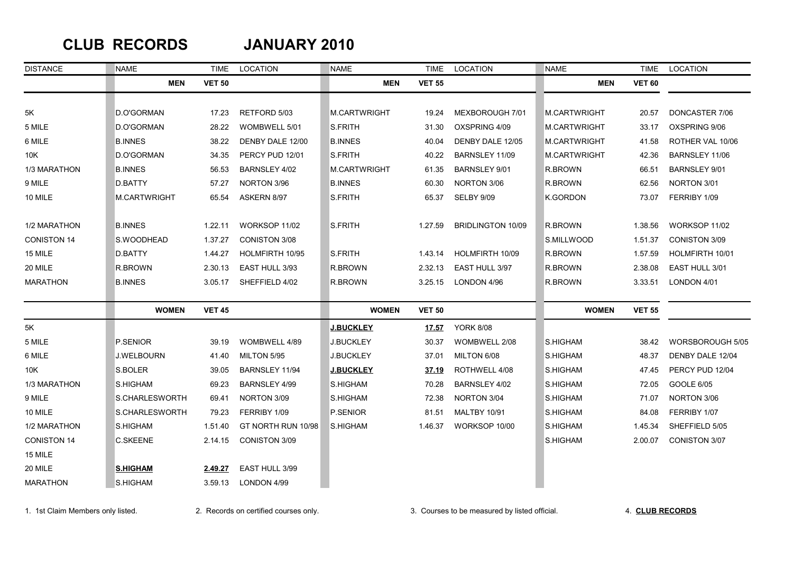### **CLUB RECORDS JANUARY 2010**

| <b>DISTANCE</b>    | <b>NAME</b>     | TIME          | LOCATION             | <b>NAME</b>         | TIME          | LOCATION                 | <b>NAME</b>         | TIME          | LOCATION             |
|--------------------|-----------------|---------------|----------------------|---------------------|---------------|--------------------------|---------------------|---------------|----------------------|
|                    | <b>MEN</b>      | <b>VET 50</b> |                      | <b>MEN</b>          | <b>VET 55</b> |                          | <b>MEN</b>          | <b>VET 60</b> |                      |
|                    |                 |               |                      |                     |               |                          |                     |               |                      |
| 5K                 | D.O'GORMAN      | 17.23         | RETFORD 5/03         | <b>M.CARTWRIGHT</b> | 19.24         | MEXBOROUGH 7/01          | <b>M.CARTWRIGHT</b> | 20.57         | DONCASTER 7/06       |
| 5 MILE             | D.O'GORMAN      | 28.22         | WOMBWELL 5/01        | S.FRITH             | 31.30         | OXSPRING 4/09            | <b>M.CARTWRIGHT</b> | 33.17         | OXSPRING 9/06        |
| 6 MILE             | <b>B.INNES</b>  | 38.22         | DENBY DALE 12/00     | <b>B.INNES</b>      | 40.04         | DENBY DALE 12/05         | <b>M.CARTWRIGHT</b> | 41.58         | ROTHER VAL 10/06     |
| 10K                | D.O'GORMAN      | 34.35         | PERCY PUD 12/01      | S.FRITH             | 40.22         | BARNSLEY 11/09           | <b>M.CARTWRIGHT</b> | 42.36         | BARNSLEY 11/06       |
| 1/3 MARATHON       | <b>B.INNES</b>  | 56.53         | BARNSLEY 4/02        | <b>M.CARTWRIGHT</b> | 61.35         | <b>BARNSLEY 9/01</b>     | R.BROWN             | 66.51         | <b>BARNSLEY 9/01</b> |
| 9 MILE             | D.BATTY         | 57.27         | NORTON 3/96          | <b>B.INNES</b>      | 60.30         | NORTON 3/06              | R.BROWN             | 62.56         | NORTON 3/01          |
| 10 MILE            | M.CARTWRIGHT    | 65.54         | ASKERN 8/97          | S.FRITH             | 65.37         | SELBY 9/09               | K.GORDON            | 73.07         | FERRIBY 1/09         |
| 1/2 MARATHON       | <b>B.INNES</b>  | 1.22.11       | WORKSOP 11/02        | S.FRITH             | 1.27.59       | <b>BRIDLINGTON 10/09</b> | R.BROWN             | 1.38.56       | WORKSOP 11/02        |
| <b>CONISTON 14</b> | S.WOODHEAD      | 1.37.27       | <b>CONISTON 3/08</b> |                     |               |                          | S.MILLWOOD          | 1.51.37       | <b>CONISTON 3/09</b> |
| 15 MILE            | D.BATTY         | 1.44.27       | HOLMFIRTH 10/95      | S.FRITH             | 1.43.14       | HOLMFIRTH 10/09          | R.BROWN             | 1.57.59       | HOLMFIRTH 10/01      |
| 20 MILE            | R.BROWN         | 2.30.13       | EAST HULL 3/93       | R.BROWN             | 2.32.13       | EAST HULL 3/97           | R.BROWN             | 2.38.08       | EAST HULL 3/01       |
| <b>MARATHON</b>    | <b>B.INNES</b>  | 3.05.17       | SHEFFIELD 4/02       | R.BROWN             | 3.25.15       | LONDON 4/96              | R.BROWN             | 3.33.51       | LONDON 4/01          |
|                    | <b>WOMEN</b>    | <b>VET 45</b> |                      | <b>WOMEN</b>        | <b>VET 50</b> |                          | <b>WOMEN</b>        | <b>VET 55</b> |                      |
| 5K                 |                 |               |                      | <b>J.BUCKLEY</b>    | <u>17.57</u>  | <b>YORK 8/08</b>         |                     |               |                      |
| 5 MILE             | P.SENIOR        | 39.19         | WOMBWELL 4/89        | <b>J.BUCKLEY</b>    | 30.37         | WOMBWELL 2/08            | S.HIGHAM            | 38.42         | WORSBOROUGH 5/05     |
| 6 MILE             | J.WELBOURN      | 41.40         | MILTON 5/95          | J.BUCKLEY           | 37.01         | MILTON 6/08              | S.HIGHAM            | 48.37         | DENBY DALE 12/04     |
| 10K                | S.BOLER         | 39.05         | BARNSLEY 11/94       | <b>J.BUCKLEY</b>    | 37.19         | ROTHWELL 4/08            | S.HIGHAM            | 47.45         | PERCY PUD 12/04      |
| 1/3 MARATHON       | S.HIGHAM        | 69.23         | BARNSLEY 4/99        | S.HIGHAM            | 70.28         | BARNSLEY 4/02            | S.HIGHAM            | 72.05         | GOOLE 6/05           |
| 9 MILE             | S.CHARLESWORTH  | 69.41         | NORTON 3/09          | S.HIGHAM            | 72.38         | NORTON 3/04              | S.HIGHAM            | 71.07         | NORTON 3/06          |
| 10 MILE            | S.CHARLESWORTH  | 79.23         | FERRIBY 1/09         | P.SENIOR            | 81.51         | <b>MALTBY 10/91</b>      | S.HIGHAM            | 84.08         | FERRIBY 1/07         |
| 1/2 MARATHON       | S.HIGHAM        | 1.51.40       | GT NORTH RUN 10/98   | S.HIGHAM            | 1.46.37       | WORKSOP 10/00            | S.HIGHAM            | 1.45.34       | SHEFFIELD 5/05       |
| <b>CONISTON 14</b> | C.SKEENE        | 2.14.15       | <b>CONISTON 3/09</b> |                     |               |                          | S.HIGHAM            | 2.00.07       | CONISTON 3/07        |
| 15 MILE            |                 |               |                      |                     |               |                          |                     |               |                      |
| 20 MILE            | <b>S.HIGHAM</b> | 2.49.27       | EAST HULL 3/99       |                     |               |                          |                     |               |                      |
| <b>MARATHON</b>    | S.HIGHAM        | 3.59.13       | LONDON 4/99          |                     |               |                          |                     |               |                      |

1. 1st Claim Members only listed. 2. Records on certified courses only. 3. Courses to be measured by listed official. 4. **CLUB RECORDS**